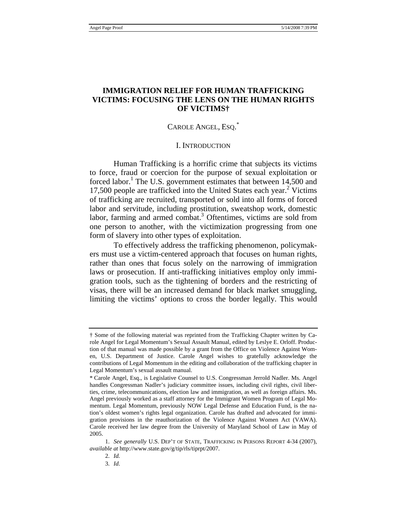# **IMMIGRATION RELIEF FOR HUMAN TRAFFICKING VICTIMS: FOCUSING THE LENS ON THE HUMAN RIGHTS OF VICTIMS†**

# CAROLE ANGEL, Esq.<sup>\*</sup>

#### I. INTRODUCTION

Human Trafficking is a horrific crime that subjects its victims to force, fraud or coercion for the purpose of sexual exploitation or forced labor.<sup>1</sup> The U.S. government estimates that between 14,500 and 17,500 people are trafficked into the United States each year.<sup>2</sup> Victims of trafficking are recruited, transported or sold into all forms of forced labor and servitude, including prostitution, sweatshop work, domestic labor, farming and armed combat.<sup>3</sup> Oftentimes, victims are sold from one person to another, with the victimization progressing from one form of slavery into other types of exploitation.

To effectively address the trafficking phenomenon, policymakers must use a victim-centered approach that focuses on human rights, rather than ones that focus solely on the narrowing of immigration laws or prosecution. If anti-trafficking initiatives employ only immigration tools, such as the tightening of borders and the restricting of visas, there will be an increased demand for black market smuggling, limiting the victims' options to cross the border legally. This would

<sup>†</sup> Some of the following material was reprinted from the Trafficking Chapter written by Carole Angel for Legal Momentum's Sexual Assault Manual, edited by Leslye E. Orloff. Production of that manual was made possible by a grant from the Office on Violence Against Women, U.S. Department of Justice. Carole Angel wishes to gratefully acknowledge the contributions of Legal Momentum in the editing and collaboration of the trafficking chapter in Legal Momentum's sexual assault manual.

<sup>\*</sup> Carole Angel, Esq., is Legislative Counsel to U.S. Congressman Jerrold Nadler. Ms. Angel handles Congressman Nadler's judiciary committee issues, including civil rights, civil liberties, crime, telecommunications, election law and immigration, as well as foreign affairs. Ms. Angel previously worked as a staff attorney for the Immigrant Women Program of Legal Momentum. Legal Momentum, previously NOW Legal Defense and Education Fund, is the nation's oldest women's rights legal organization. Carole has drafted and advocated for immigration provisions in the reauthorization of the Violence Against Women Act (VAWA). Carole received her law degree from the University of Maryland School of Law in May of 2005.

 <sup>1.</sup> *See generally* U.S. DEP'T OF STATE, TRAFFICKING IN PERSONS REPORT 4-34 (2007), *available at* http://www.state.gov/g/tip/rls/tiprpt/2007.

 <sup>2.</sup> *Id.*

 <sup>3.</sup> *Id*.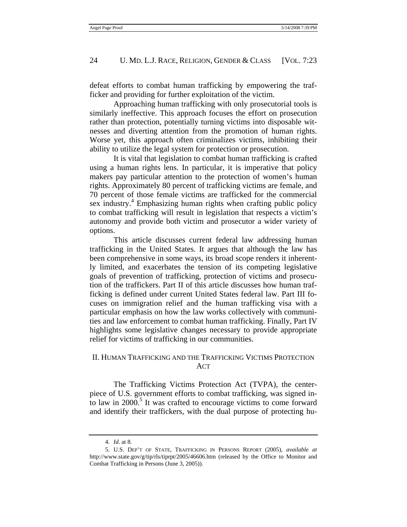defeat efforts to combat human trafficking by empowering the trafficker and providing for further exploitation of the victim.

Approaching human trafficking with only prosecutorial tools is similarly ineffective. This approach focuses the effort on prosecution rather than protection, potentially turning victims into disposable witnesses and diverting attention from the promotion of human rights. Worse yet, this approach often criminalizes victims, inhibiting their ability to utilize the legal system for protection or prosecution.

It is vital that legislation to combat human trafficking is crafted using a human rights lens. In particular, it is imperative that policy makers pay particular attention to the protection of women's human rights. Approximately 80 percent of trafficking victims are female, and 70 percent of those female victims are trafficked for the commercial sex industry.<sup>4</sup> Emphasizing human rights when crafting public policy to combat trafficking will result in legislation that respects a victim's autonomy and provide both victim and prosecutor a wider variety of options.

This article discusses current federal law addressing human trafficking in the United States. It argues that although the law has been comprehensive in some ways, its broad scope renders it inherently limited, and exacerbates the tension of its competing legislative goals of prevention of trafficking, protection of victims and prosecution of the traffickers. Part II of this article discusses how human trafficking is defined under current United States federal law. Part III focuses on immigration relief and the human trafficking visa with a particular emphasis on how the law works collectively with communities and law enforcement to combat human trafficking. Finally, Part IV highlights some legislative changes necessary to provide appropriate relief for victims of trafficking in our communities.

# II. HUMAN TRAFFICKING AND THE TRAFFICKING VICTIMS PROTECTION ACT

The Trafficking Victims Protection Act (TVPA), the centerpiece of U.S. government efforts to combat trafficking, was signed into law in  $2000$ .<sup>5</sup> It was crafted to encourage victims to come forward and identify their traffickers, with the dual purpose of protecting hu-

 <sup>4.</sup> *Id*. at 8.

 <sup>5.</sup> U.S. DEP'T OF STATE, TRAFFICKING IN PERSONS REPORT (2005), *available at* http://www.state.gov/g/tip/rls/tiprpt/2005/46606.htm (released by the Office to Monitor and Combat Trafficking in Persons (June 3, 2005)).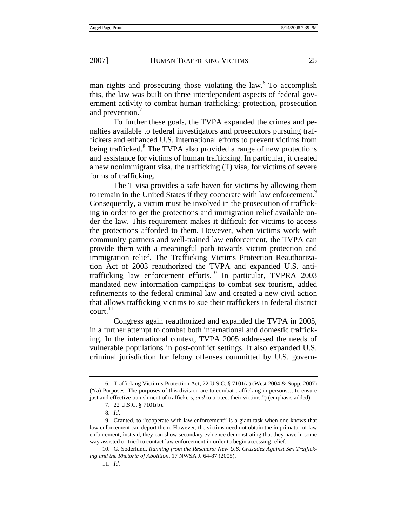man rights and prosecuting those violating the law. $6\degree$  To accomplish this, the law was built on three interdependent aspects of federal government activity to combat human trafficking: protection, prosecution and prevention.

To further these goals, the TVPA expanded the crimes and penalties available to federal investigators and prosecutors pursuing traffickers and enhanced U.S. international efforts to prevent victims from being trafficked.<sup>8</sup> The TVPA also provided a range of new protections and assistance for victims of human trafficking. In particular, it created a new nonimmigrant visa, the trafficking (T) visa, for victims of severe forms of trafficking.

The T visa provides a safe haven for victims by allowing them to remain in the United States if they cooperate with law enforcement.<sup>9</sup> Consequently, a victim must be involved in the prosecution of trafficking in order to get the protections and immigration relief available under the law. This requirement makes it difficult for victims to access the protections afforded to them. However, when victims work with community partners and well-trained law enforcement, the TVPA can provide them with a meaningful path towards victim protection and immigration relief. The Trafficking Victims Protection Reauthorization Act of 2003 reauthorized the TVPA and expanded U.S. antitrafficking law enforcement efforts.<sup>10</sup> In particular, TVPRA 2003 mandated new information campaigns to combat sex tourism, added refinements to the federal criminal law and created a new civil action that allows trafficking victims to sue their traffickers in federal district court.<sup>11</sup>

Congress again reauthorized and expanded the TVPA in 2005, in a further attempt to combat both international and domestic trafficking. In the international context, TVPA 2005 addressed the needs of vulnerable populations in post-conflict settings. It also expanded U.S. criminal jurisdiction for felony offenses committed by U.S. govern-

 <sup>6.</sup> Trafficking Victim's Protection Act, 22 U.S.C. § 7101(a) (West 2004 & Supp. 2007) ("(a) Purposes. The purposes of this division are to combat trafficking in persons….to ensure just and effective punishment of traffickers, *and* to protect their victims.") (emphasis added).

 <sup>7. 22</sup> U.S.C. § 7101(b).

 <sup>8.</sup> *Id*.

 <sup>9.</sup> Granted, to "cooperate with law enforcement" is a giant task when one knows that law enforcement can deport them. However, the victims need not obtain the imprimatur of law enforcement; instead, they can show secondary evidence demonstrating that they have in some way assisted or tried to contact law enforcement in order to begin accessing relief.

 <sup>10.</sup> G. Soderlund, *Running from the Rescuers: New U.S. Crusades Against Sex Trafficking and the Rhetoric of Abolition*, 17 NWSA J. 64-87 (2005).

 <sup>11.</sup> *Id.*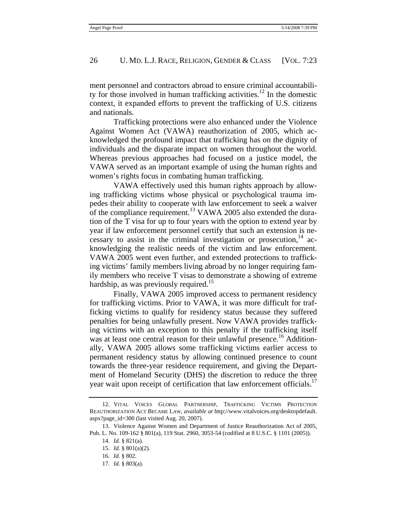ment personnel and contractors abroad to ensure criminal accountability for those involved in human trafficking activities.<sup>12</sup> In the domestic context, it expanded efforts to prevent the trafficking of U.S. citizens and nationals.

Trafficking protections were also enhanced under the Violence Against Women Act (VAWA) reauthorization of 2005, which acknowledged the profound impact that trafficking has on the dignity of individuals and the disparate impact on women throughout the world. Whereas previous approaches had focused on a justice model, the VAWA served as an important example of using the human rights and women's rights focus in combating human trafficking.

VAWA effectively used this human rights approach by allowing trafficking victims whose physical or psychological trauma impedes their ability to cooperate with law enforcement to seek a waiver of the compliance requirement.<sup>13</sup> VAWA 2005 also extended the duration of the T visa for up to four years with the option to extend year by year if law enforcement personnel certify that such an extension is necessary to assist in the criminal investigation or prosecution,<sup>14</sup> acknowledging the realistic needs of the victim and law enforcement. VAWA 2005 went even further, and extended protections to trafficking victims' family members living abroad by no longer requiring family members who receive T visas to demonstrate a showing of extreme hardship, as was previously required.<sup>15</sup>

Finally, VAWA 2005 improved access to permanent residency for trafficking victims. Prior to VAWA, it was more difficult for trafficking victims to qualify for residency status because they suffered penalties for being unlawfully present. Now VAWA provides trafficking victims with an exception to this penalty if the trafficking itself was at least one central reason for their unlawful presence.<sup>16</sup> Additionally, VAWA 2005 allows some trafficking victims earlier access to permanent residency status by allowing continued presence to count towards the three-year residence requirement, and giving the Department of Homeland Security (DHS) the discretion to reduce the three year wait upon receipt of certification that law enforcement officials.<sup>17</sup>

 <sup>12.</sup> VITAL VOICES GLOBAL PARTNERSHIP, TRAFFICKING VICTIMS PROTECTION REAUTHORIZATION ACT BECAME LAW, *available at* http://www.vitalvoices.org/desktopdefault. aspx?page\_id=300 (last visited Aug. 20, 2007).

 <sup>13.</sup> Violence Against Women and Department of Justice Reauthorization Act of 2005, Pub. L. No. 109-162 § 801(a), 119 Stat. 2960, 3053-54 (codified at 8 U.S.C. § 1101 (2005)).

 <sup>14.</sup> *Id.* § 821(a).

 <sup>15.</sup> *Id.* § 801(a)(2).

 <sup>16.</sup> *Id.* § 802.

 <sup>17.</sup> *Id.* § 803(a).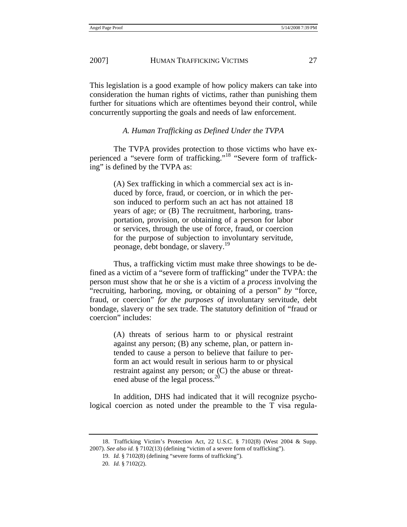This legislation is a good example of how policy makers can take into consideration the human rights of victims, rather than punishing them further for situations which are oftentimes beyond their control, while concurrently supporting the goals and needs of law enforcement.

*A. Human Trafficking as Defined Under the TVPA* 

The TVPA provides protection to those victims who have experienced a "severe form of trafficking."18 "Severe form of trafficking" is defined by the TVPA as:

> (A) Sex trafficking in which a commercial sex act is induced by force, fraud, or coercion, or in which the person induced to perform such an act has not attained 18 years of age; or (B) The recruitment, harboring, transportation, provision, or obtaining of a person for labor or services, through the use of force, fraud, or coercion for the purpose of subjection to involuntary servitude, peonage, debt bondage, or slavery.<sup>19</sup>

Thus, a trafficking victim must make three showings to be defined as a victim of a "severe form of trafficking" under the TVPA: the person must show that he or she is a victim of a *process* involving the "recruiting, harboring, moving, or obtaining of a person" *by* "force, fraud, or coercion" *for the purposes of* involuntary servitude, debt bondage, slavery or the sex trade. The statutory definition of "fraud or coercion" includes:

> (A) threats of serious harm to or physical restraint against any person; (B) any scheme, plan, or pattern intended to cause a person to believe that failure to perform an act would result in serious harm to or physical restraint against any person; or (C) the abuse or threatened abuse of the legal process.<sup>20</sup>

In addition, DHS had indicated that it will recognize psychological coercion as noted under the preamble to the T visa regula-

 <sup>18.</sup> Trafficking Victim's Protection Act, 22 U.S.C. § 7102(8) (West 2004 & Supp. 2007). *See also id.* § 7102(13) (defining "victim of a severe form of trafficking").

 <sup>19.</sup> *Id.* § 7102(8) (defining "severe forms of trafficking").

 <sup>20.</sup> *Id.* § 7102(2).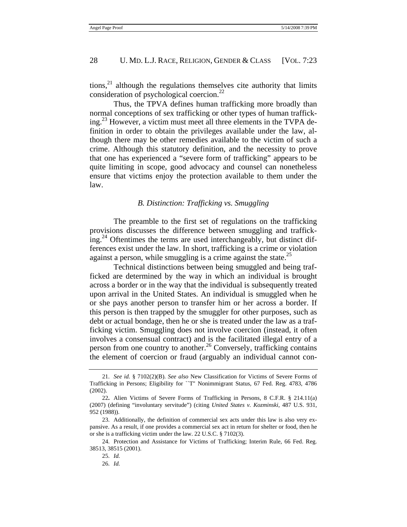tions, $^{21}$  although the regulations themselves cite authority that limits consideration of psychological coercion.<sup>22</sup>

Thus, the TPVA defines human trafficking more broadly than normal conceptions of sex trafficking or other types of human trafficking.<sup>23</sup> However, a victim must meet all three elements in the TVPA definition in order to obtain the privileges available under the law, although there may be other remedies available to the victim of such a crime. Although this statutory definition, and the necessity to prove that one has experienced a "severe form of trafficking" appears to be quite limiting in scope, good advocacy and counsel can nonetheless ensure that victims enjoy the protection available to them under the law.

### *B. Distinction: Trafficking vs. Smuggling*

The preamble to the first set of regulations on the trafficking provisions discusses the difference between smuggling and trafficking.<sup>24</sup> Oftentimes the terms are used interchangeably, but distinct differences exist under the law. In short, trafficking is a crime or violation against a person, while smuggling is a crime against the state.<sup>25</sup>

Technical distinctions between being smuggled and being trafficked are determined by the way in which an individual is brought across a border or in the way that the individual is subsequently treated upon arrival in the United States. An individual is smuggled when he or she pays another person to transfer him or her across a border. If this person is then trapped by the smuggler for other purposes, such as debt or actual bondage, then he or she is treated under the law as a trafficking victim. Smuggling does not involve coercion (instead, it often involves a consensual contract) and is the facilitated illegal entry of a person from one country to another.<sup>26</sup> Conversely, trafficking contains the element of coercion or fraud (arguably an individual cannot con-

 <sup>21.</sup> *See id.* § 7102(2)(B). *See also* New Classification for Victims of Severe Forms of Trafficking in Persons; Eligibility for ``T'' Nonimmigrant Status, 67 Fed. Reg. 4783, 4786 (2002).

<sup>22</sup>**.** Alien Victims of Severe Forms of Trafficking in Persons, 8 C.F.R. § 214.11(a) (2007) (defining "involuntary servitude") (citing *United States v. Kozminski*, 487 U.S. 931, 952 (1988)).

 <sup>23.</sup> Additionally, the definition of commercial sex acts under this law is also very expansive. As a result, if one provides a commercial sex act in return for shelter or food, then he or she is a trafficking victim under the law. 22 U.S.C. § 7102(3).

 <sup>24.</sup> Protection and Assistance for Victims of Trafficking; Interim Rule, 66 Fed. Reg. 38513, 38515 (2001).

 <sup>25.</sup> *Id.*

 <sup>26.</sup> *Id.*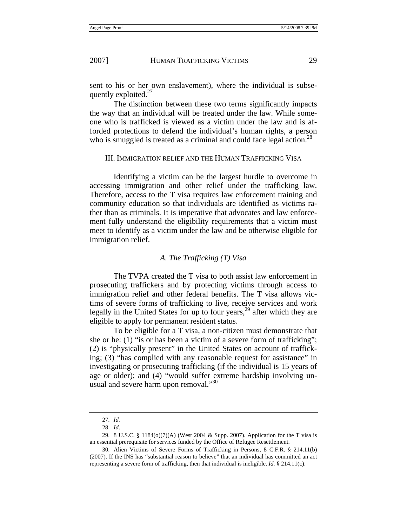sent to his or her own enslavement), where the individual is subsequently exploited. $27$ 

The distinction between these two terms significantly impacts the way that an individual will be treated under the law. While someone who is trafficked is viewed as a victim under the law and is afforded protections to defend the individual's human rights, a person who is smuggled is treated as a criminal and could face legal action.<sup>28</sup>

#### III. IMMIGRATION RELIEF AND THE HUMAN TRAFFICKING VISA

Identifying a victim can be the largest hurdle to overcome in accessing immigration and other relief under the trafficking law. Therefore, access to the T visa requires law enforcement training and community education so that individuals are identified as victims rather than as criminals. It is imperative that advocates and law enforcement fully understand the eligibility requirements that a victim must meet to identify as a victim under the law and be otherwise eligible for immigration relief.

#### *A. The Trafficking (T) Visa*

The TVPA created the T visa to both assist law enforcement in prosecuting traffickers and by protecting victims through access to immigration relief and other federal benefits. The T visa allows victims of severe forms of trafficking to live, receive services and work legally in the United States for up to four years,  $2^9$  after which they are eligible to apply for permanent resident status.

To be eligible for a T visa, a non-citizen must demonstrate that she or he: (1) "is or has been a victim of a severe form of trafficking"; (2) is "physically present" in the United States on account of trafficking; (3) "has complied with any reasonable request for assistance" in investigating or prosecuting trafficking (if the individual is 15 years of age or older); and (4) "would suffer extreme hardship involving unusual and severe harm upon removal."<sup>30</sup>

 <sup>27.</sup> *Id.*

 <sup>28.</sup> *Id*.

 <sup>29. 8</sup> U.S.C. § 1184(o)(7)(A) (West 2004 & Supp. 2007). Application for the T visa is an essential prerequisite for services funded by the Office of Refugee Resettlement.

 <sup>30.</sup> Alien Victims of Severe Forms of Trafficking in Persons, 8 C.F.R. § 214.11(b) (2007). If the INS has "substantial reason to believe" that an individual has committed an act representing a severe form of trafficking, then that individual is ineligible. *Id.* § 214.11(c).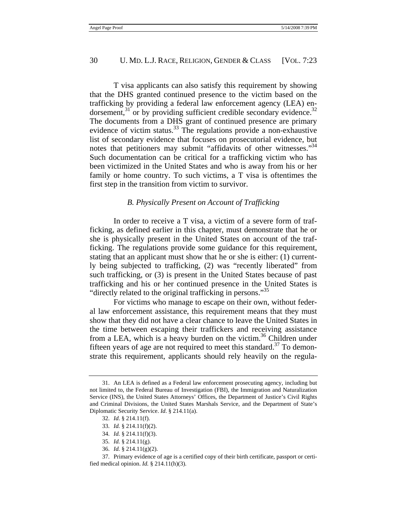T visa applicants can also satisfy this requirement by showing that the DHS granted continued presence to the victim based on the trafficking by providing a federal law enforcement agency (LEA) endorsement, $31$  or by providing sufficient credible secondary evidence.  $32$ The documents from a DHS grant of continued presence are primary evidence of victim status. $^{33}$  The regulations provide a non-exhaustive list of secondary evidence that focuses on prosecutorial evidence, but notes that petitioners may submit "affidavits of other witnesses."<sup>34</sup> Such documentation can be critical for a trafficking victim who has been victimized in the United States and who is away from his or her family or home country. To such victims, a T visa is oftentimes the first step in the transition from victim to survivor.

#### *B. Physically Present on Account of Trafficking*

In order to receive a T visa, a victim of a severe form of trafficking, as defined earlier in this chapter, must demonstrate that he or she is physically present in the United States on account of the trafficking. The regulations provide some guidance for this requirement, stating that an applicant must show that he or she is either: (1) currently being subjected to trafficking, (2) was "recently liberated" from such trafficking, or (3) is present in the United States because of past trafficking and his or her continued presence in the United States is "directly related to the original trafficking in persons."<sup>35</sup>

For victims who manage to escape on their own, without federal law enforcement assistance, this requirement means that they must show that they did not have a clear chance to leave the United States in the time between escaping their traffickers and receiving assistance from a LEA, which is a heavy burden on the victim.<sup>36</sup> Children under fifteen years of age are not required to meet this standard.<sup>37</sup> To demonstrate this requirement, applicants should rely heavily on the regula-

36. *Id.* § 214.11(g)(2).

 <sup>31.</sup> An LEA is defined as a Federal law enforcement prosecuting agency, including but not limited to, the Federal Bureau of Investigation (FBI), the Immigration and Naturalization Service (INS), the United States Attorneys' Offices, the Department of Justice's Civil Rights and Criminal Divisions, the United States Marshals Service, and the Department of State's Diplomatic Security Service. *Id*. § 214.11(a).

 <sup>32.</sup> *Id*. § 214.11(f).

 <sup>33.</sup> *Id.* § 214.11(f)(2).

 <sup>34.</sup> *Id.* § 214.11(f)(3).

 <sup>35.</sup> *Id.* § 214.11(g).

 <sup>37.</sup> Primary evidence of age is a certified copy of their birth certificate, passport or certified medical opinion. *Id.* § 214.11(h)(3).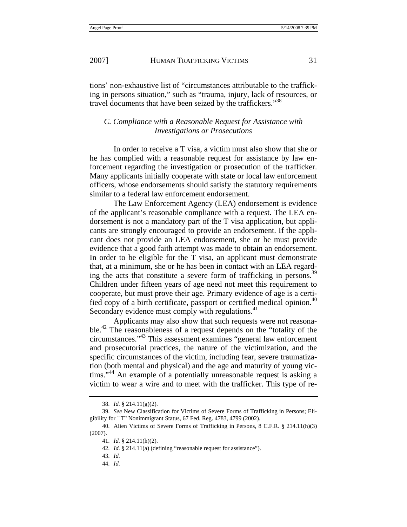tions' non-exhaustive list of "circumstances attributable to the trafficking in persons situation," such as "trauma, injury, lack of resources, or travel documents that have been seized by the traffickers."<sup>38</sup>

# *C. Compliance with a Reasonable Request for Assistance with Investigations or Prosecutions*

In order to receive a T visa, a victim must also show that she or he has complied with a reasonable request for assistance by law enforcement regarding the investigation or prosecution of the trafficker. Many applicants initially cooperate with state or local law enforcement officers, whose endorsements should satisfy the statutory requirements similar to a federal law enforcement endorsement.

The Law Enforcement Agency (LEA) endorsement is evidence of the applicant's reasonable compliance with a request. The LEA endorsement is not a mandatory part of the T visa application, but applicants are strongly encouraged to provide an endorsement. If the applicant does not provide an LEA endorsement, she or he must provide evidence that a good faith attempt was made to obtain an endorsement. In order to be eligible for the T visa, an applicant must demonstrate that, at a minimum, she or he has been in contact with an LEA regarding the acts that constitute a severe form of trafficking in persons.<sup>39</sup> Children under fifteen years of age need not meet this requirement to cooperate, but must prove their age. Primary evidence of age is a certified copy of a birth certificate, passport or certified medical opinion.<sup>40</sup> Secondary evidence must comply with regulations.<sup>41</sup>

Applicants may also show that such requests were not reasonable.<sup>42</sup> The reasonableness of a request depends on the "totality of the circumstances."43 This assessment examines "general law enforcement and prosecutorial practices, the nature of the victimization, and the specific circumstances of the victim, including fear, severe traumatization (both mental and physical) and the age and maturity of young victims."<sup>44</sup> An example of a potentially unreasonable request is asking a victim to wear a wire and to meet with the trafficker. This type of re-

 <sup>38.</sup> *Id.* § 214.11(g)(2).

 <sup>39.</sup> *See* New Classification for Victims of Severe Forms of Trafficking in Persons; Eligibility for ``T'' Nonimmigrant Status, 67 Fed. Reg. 4783, 4799 (2002).

 <sup>40.</sup> Alien Victims of Severe Forms of Trafficking in Persons, 8 C.F.R. § 214.11(h)(3) (2007).

 <sup>41.</sup> *Id.* § 214.11(h)(2).

 <sup>42.</sup> *Id.* § 214.11(a) (defining "reasonable request for assistance").

 <sup>43.</sup> *Id.*

 <sup>44.</sup> *Id.*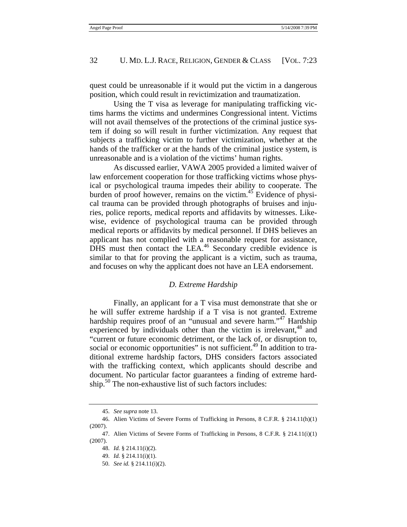quest could be unreasonable if it would put the victim in a dangerous position, which could result in revictimization and traumatization.

Using the T visa as leverage for manipulating trafficking victims harms the victims and undermines Congressional intent. Victims will not avail themselves of the protections of the criminal justice system if doing so will result in further victimization. Any request that subjects a trafficking victim to further victimization, whether at the hands of the trafficker or at the hands of the criminal justice system, is unreasonable and is a violation of the victims' human rights.

As discussed earlier, VAWA 2005 provided a limited waiver of law enforcement cooperation for those trafficking victims whose physical or psychological trauma impedes their ability to cooperate. The burden of proof however, remains on the victim. $45$  Evidence of physical trauma can be provided through photographs of bruises and injuries, police reports, medical reports and affidavits by witnesses. Likewise, evidence of psychological trauma can be provided through medical reports or affidavits by medical personnel. If DHS believes an applicant has not complied with a reasonable request for assistance, DHS must then contact the  $LEA<sup>46</sup>$  Secondary credible evidence is similar to that for proving the applicant is a victim, such as trauma, and focuses on why the applicant does not have an LEA endorsement.

#### *D. Extreme Hardship*

Finally, an applicant for a T visa must demonstrate that she or he will suffer extreme hardship if a T visa is not granted. Extreme hardship requires proof of an "unusual and severe harm."<sup>47</sup> Hardship experienced by individuals other than the victim is irrelevant,  $48$  and "current or future economic detriment, or the lack of, or disruption to, social or economic opportunities" is not sufficient.<sup>49</sup> In addition to traditional extreme hardship factors, DHS considers factors associated with the trafficking context, which applicants should describe and document. No particular factor guarantees a finding of extreme hardship.<sup>50</sup> The non-exhaustive list of such factors includes:

 <sup>45.</sup> *See supra* note 13.

 <sup>46.</sup> Alien Victims of Severe Forms of Trafficking in Persons, 8 C.F.R. § 214.11(h)(1) (2007).

 <sup>47.</sup> Alien Victims of Severe Forms of Trafficking in Persons, 8 C.F.R. § 214.11(i)(1) (2007).

 <sup>48.</sup> *Id.* § 214.11(i)(2).

 <sup>49.</sup> *Id.* § 214.11(i)(1).

 <sup>50.</sup> *See id.* § 214.11(i)(2).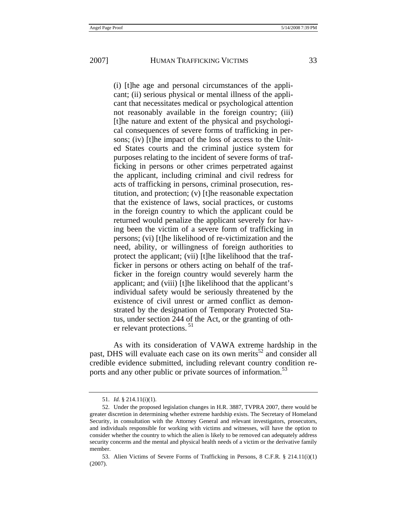(i) [t]he age and personal circumstances of the applicant; (ii) serious physical or mental illness of the applicant that necessitates medical or psychological attention not reasonably available in the foreign country; (iii) [t]he nature and extent of the physical and psychological consequences of severe forms of trafficking in persons; (iv) [t]he impact of the loss of access to the United States courts and the criminal justice system for purposes relating to the incident of severe forms of trafficking in persons or other crimes perpetrated against the applicant, including criminal and civil redress for acts of trafficking in persons, criminal prosecution, restitution, and protection; (v) [t]he reasonable expectation that the existence of laws, social practices, or customs in the foreign country to which the applicant could be returned would penalize the applicant severely for having been the victim of a severe form of trafficking in persons; (vi) [t]he likelihood of re-victimization and the need, ability, or willingness of foreign authorities to protect the applicant; (vii) [t]he likelihood that the trafficker in persons or others acting on behalf of the trafficker in the foreign country would severely harm the applicant; and (viii) [t]he likelihood that the applicant's individual safety would be seriously threatened by the existence of civil unrest or armed conflict as demonstrated by the designation of Temporary Protected Status, under section 244 of the Act, or the granting of other relevant protections.<sup>51</sup>

As with its consideration of VAWA extreme hardship in the past, DHS will evaluate each case on its own merits<sup>52</sup> and consider all credible evidence submitted, including relevant country condition reports and any other public or private sources of information.<sup>53</sup>

 <sup>51.</sup> *Id.* § 214.11(i)(1).

 <sup>52.</sup> Under the proposed legislation changes in H.R. 3887, TVPRA 2007, there would be greater discretion in determining whether extreme hardship exists. The Secretary of Homeland Security, in consultation with the Attorney General and relevant investigators, prosecutors, and individuals responsible for working with victims and witnesses, will have the option to consider whether the country to which the alien is likely to be removed can adequately address security concerns and the mental and physical health needs of a victim or the derivative family member.

 <sup>53.</sup> Alien Victims of Severe Forms of Trafficking in Persons, 8 C.F.R. § 214.11(i)(1) (2007).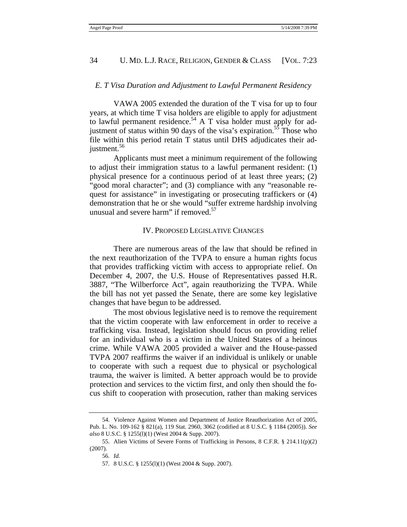#### *E. T Visa Duration and Adjustment to Lawful Permanent Residency*

VAWA 2005 extended the duration of the T visa for up to four years, at which time T visa holders are eligible to apply for adjustment to lawful permanent residence.<sup>54</sup> A T visa holder must apply for adjustment of status within 90 days of the visa's expiration.<sup>55</sup> Those who file within this period retain T status until DHS adjudicates their adjustment.<sup>56</sup>

Applicants must meet a minimum requirement of the following to adjust their immigration status to a lawful permanent resident: (1) physical presence for a continuous period of at least three years; (2) "good moral character"; and (3) compliance with any "reasonable request for assistance" in investigating or prosecuting traffickers or (4) demonstration that he or she would "suffer extreme hardship involving unusual and severe harm" if removed. $57$ 

#### IV. PROPOSED LEGISLATIVE CHANGES

There are numerous areas of the law that should be refined in the next reauthorization of the TVPA to ensure a human rights focus that provides trafficking victim with access to appropriate relief. On December 4, 2007, the U.S. House of Representatives passed H.R. 3887, "The Wilberforce Act", again reauthorizing the TVPA. While the bill has not yet passed the Senate, there are some key legislative changes that have begun to be addressed.

The most obvious legislative need is to remove the requirement that the victim cooperate with law enforcement in order to receive a trafficking visa. Instead, legislation should focus on providing relief for an individual who is a victim in the United States of a heinous crime. While VAWA 2005 provided a waiver and the House-passed TVPA 2007 reaffirms the waiver if an individual is unlikely or unable to cooperate with such a request due to physical or psychological trauma, the waiver is limited. A better approach would be to provide protection and services to the victim first, and only then should the focus shift to cooperation with prosecution, rather than making services

 <sup>54.</sup> Violence Against Women and Department of Justice Reauthorization Act of 2005, Pub. L. No. 109-162 § 821(a), 119 Stat. 2960, 3062 (codified at 8 U.S.C. § 1184 (2005)). *See also* 8 U.S.C. § 1255(l)(1) (West 2004 & Supp. 2007).

 <sup>55.</sup> Alien Victims of Severe Forms of Trafficking in Persons, 8 C.F.R. § 214.11(p)(2) (2007).

 <sup>56.</sup> *Id.*

 <sup>57. 8</sup> U.S.C. § 1255(l)(1) (West 2004 & Supp. 2007).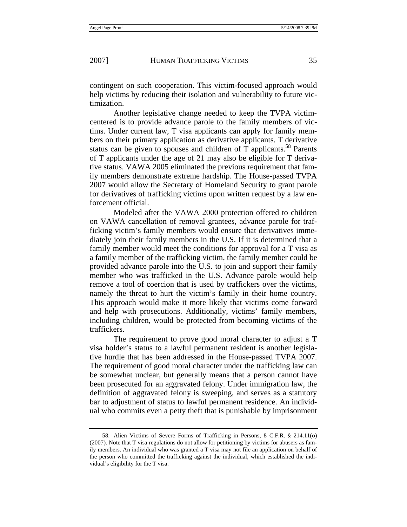contingent on such cooperation. This victim-focused approach would help victims by reducing their isolation and vulnerability to future victimization.

Another legislative change needed to keep the TVPA victimcentered is to provide advance parole to the family members of victims. Under current law, T visa applicants can apply for family members on their primary application as derivative applicants. T derivative status can be given to spouses and children of  $T$  applicants.<sup>58</sup> Parents of T applicants under the age of 21 may also be eligible for T derivative status. VAWA 2005 eliminated the previous requirement that family members demonstrate extreme hardship. The House-passed TVPA 2007 would allow the Secretary of Homeland Security to grant parole for derivatives of trafficking victims upon written request by a law enforcement official.

Modeled after the VAWA 2000 protection offered to children on VAWA cancellation of removal grantees, advance parole for trafficking victim's family members would ensure that derivatives immediately join their family members in the U.S. If it is determined that a family member would meet the conditions for approval for a T visa as a family member of the trafficking victim, the family member could be provided advance parole into the U.S. to join and support their family member who was trafficked in the U.S. Advance parole would help remove a tool of coercion that is used by traffickers over the victims, namely the threat to hurt the victim's family in their home country. This approach would make it more likely that victims come forward and help with prosecutions. Additionally, victims' family members, including children, would be protected from becoming victims of the traffickers.

The requirement to prove good moral character to adjust a T visa holder's status to a lawful permanent resident is another legislative hurdle that has been addressed in the House-passed TVPA 2007. The requirement of good moral character under the trafficking law can be somewhat unclear, but generally means that a person cannot have been prosecuted for an aggravated felony. Under immigration law, the definition of aggravated felony is sweeping, and serves as a statutory bar to adjustment of status to lawful permanent residence. An individual who commits even a petty theft that is punishable by imprisonment

 <sup>58.</sup> Alien Victims of Severe Forms of Trafficking in Persons, 8 C.F.R. § 214.11(o) (2007). Note that T visa regulations do not allow for petitioning by victims for abusers as family members. An individual who was granted a T visa may not file an application on behalf of the person who committed the trafficking against the individual, which established the individual's eligibility for the T visa.